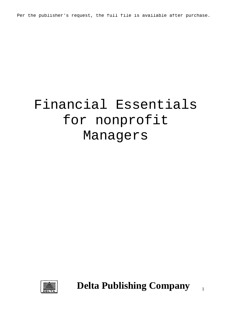Per the publisher's request, the full file is available after purchase.

# Financial Essentials for nonprofit Managers



**Delta Publishing Company**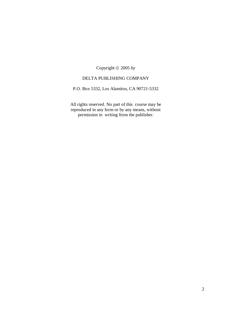Copyright 2005 *by*

### DELTA PUBLISHING COMPANY

P.O. Box 5332, Los Alamitos, CA 90721-5332

All rights reserved. No part of this course may be reproduced in any form or by any means, without permission in writing from the publisher.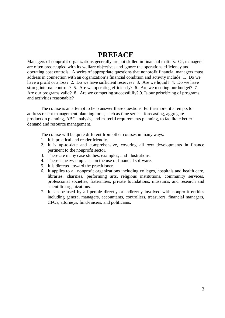## **PREFACE**

Managers of nonprofit organizations generally are not skilled in financial matters. Or, managers are often preoccupied with its welfare objectives and ignore the operations efficiency and operating cost controls. A series of appropriate questions that nonprofit financial managers must address in connection with an organization's financial condition and activity include: 1. Do we have a profit or a loss? 2. Do we have sufficient reserves? 3. Are we liquid? 4. Do we have strong internal controls? 5. Are we operating efficiently? 6. Are we meeting our budget? 7. Are our programs valid? 8. Are we competing successfully? 9. Is our prioritizing of programs and activities reasonable?

 The course is an attempt to help answer these questions. Furthermore, it attempts to address recent management planning tools, such as time series forecasting, aggregate production planning, ABC analysis, and material requirements planning, to facilitate better demand and resource management.

The course will be quite different from other courses in many ways:

- 1. It is practical and reader friendly.
- 2. It is up-to-date and comprehensive, covering all *new* developments in finance pertinent to the nonprofit sector.
- 3. There are many case studies, examples, and illustrations.
- 4. There is heavy emphasis on the use of financial software.
- 5. It is directed toward the practitioner.
- 6. It applies to all nonprofit organizations including colleges, hospitals and health care, libraries, charities, performing arts, religious institutions, community services, professional societies, fraternities, private foundations, museums, and research and scientific organizations.
- 7. It can be used by all people directly or indirectly involved with nonprofit entities including general managers, accountants, controllers, treasurers, financial managers, CFOs, attorneys, fund-raisers, and politicians.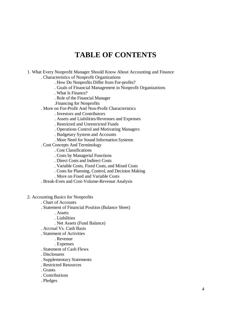## **TABLE OF CONTENTS**

- 1. What Every Nonprofit Manager Should Know About Accounting and Finance . Characteristics of Nonprofit Organizations
	- . How Do Nonprofits Differ from For-profits?
	- . Goals of Financial Management in Nonprofit Organizations
	- . What Is Finance?
	- . Role of the Financial Manager
	- .Financing for Nonprofits
	- . More on For-Profit And Non-Profit Characteristics
		- . Investors and Contributors
		- . Assets and Liabilities/Revenues and Expenses
		- . Restricted and Unrestricted Funds
		- . Operations Control and Motivating Managers
		- . Budgetary System and Accounts
		- . More Need for Sound Information Systems
	- . Cost Concepts And Terminology
		- . Cost Classifications
		- . Costs by Managerial Functions
		- . Direct Costs and Indirect Costs
		- . Variable Costs, Fixed Costs, and Mixed Costs
		- . Costs for Planning, Control, and Decision Making
			- . More on Fixed and Variable Costs
	- . Break-Even and Cost-Volume-Revenue Analysis
- 2. Accounting Basics for Nonprofits
	- . Chart of Accounts
	- . Statement of Financial Position (Balance Sheet)
		- . Assets
		- . Liabilities
		- . Net Assets (Fund Balance)
	- . Accrual Vs. Cash Basis
	- . Statement of Activities
		- . Revenue
		- . Expenses
	- . Statement of Cash Flows
	- . Disclosures
	- . Supplementary Statements
	- . Restricted Resources
	- . Grants
	- . Contributions
	- . Pledges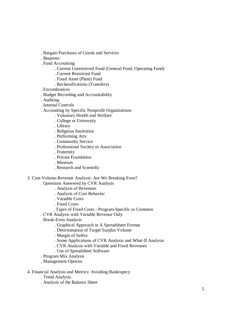- . Bargain Purchases of Goods and Services
- . Bequests
- . Fund Accounting
	- . Current Unrestricted Fund (General Fund, Operating Fund)
	- . Current Restricted Fund
	- . Fixed Asset (Plant) Fund
	- . Reclassifications (Transfers)
- . Encumbrances
- . Budget Recording and Accountability
- . Auditing
- . Internal Controls
- . Accounting by Specific Nonprofit Organizations
	- . Voluntary Health and Welfare
	- . College or University
	- . Library
	- . Religious Institution
	- . Performing Arts
	- . Community Service
	- . Professional Society or Association
	- . Fraternity
	- . Private Foundation
	- . Museum
	- . Research and Scientific
- 3. Cost-Volume-Revenue Analysis: Are We Breaking Even?
	- . Questions Answered by CVR Analysis
		- . Analysis of Revenues
		- . Analysis of Cost Behavior
		- . Variable Costs
		- . Fixed Costs
		- . Types of Fixed Costs Program-Specific or Common
	- . CVR Analysis with Variable Revenue Only
	- . Break-Even Analysis
		- . Graphical Approach in A Spreadsheet Format
		- . Determination of Target Surplus Volume
		- . Margin of Safety
		- . Some Applications of CVR Analysis and What-If Analysis
		- . CVR Analysis with Variable and Fixed Revenues
		- . Use of Spreadsheet Software
	- . Program Mix Analysis
	- . Management Options
- 4. Financial Analysis and Metrics: Avoiding Bankruptcy
	- . Trend Analysis
	- . Analysis of the Balance Sheet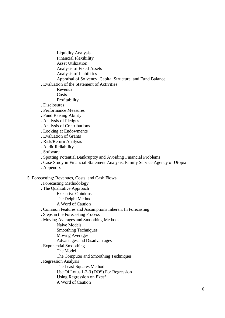- . Liquidity Analysis
- . Financial Flexibility
- . Asset Utilization
- . Analysis of Fixed Assets
- . Analysis of Liabilities
- . Appraisal of Solvency, Capital Structure, and Fund Balance
- . Evaluation of the Statement of Activities
	- . Revenue
	- . Costs
	- . Profitability
- . Disclosures
- . Performance Measures
- . Fund Raising Ability
- . Analysis of Pledges
- . Analysis of Contributions
- . Looking at Endowments
- . Evaluation of Grants
- . Risk/Return Analysis
- . Audit Reliability
- . Software
- . Spotting Potential Bankruptcy and Avoiding Financial Problems
- . Case Study in Financial Statement Analysis: Family Service Agency of Utopia
- . Appendix

#### 5. Forecasting: Revenues, Costs, and Cash Flows

- . Forecasting Methodology
- . The Qualitative Approach
	- . Executive Opinions
		- . The Delphi Method
	- . A Word of Caution
- . Common Features and Assumptions Inherent In Forecasting
- . Steps in the Forecasting Process
- . Moving Averages and Smoothing Methods
	- . Naive Models
	- . Smoothing Techniques
	- . Moving Averages
	- . Advantages and Disadvantages
- . Exponential Smoothing
	- . The Model
	- . The Computer and Smoothing Techniques
- . Regression Analysis
	- . The Least-Squares Method
	- . Use Of Lotus 1-2-3 (DOS) For Regression
	- . Using Regression on *Excel*
	- . A Word of Caution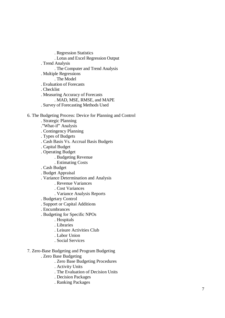. Regression Statistics

- . Lotus and Excel Regression Output
- . Trend Analysis
	- . The Computer and Trend Analysis
- . Multiple Regressions
- . The Model
- . Evaluation of Forecasts
- . Checklist
- . Measuring Accuracy of Forecasts
	- . MAD, MSE, RMSE, and MAPE
- . Survey of Forecasting Methods Used

#### 6. The Budgeting Process: Device for Planning and Control

- . Strategic Planning
- ."What-if" Analysis
- . Contingency Planning
- . Types of Budgets
- . Cash Basis Vs. Accrual Basis Budgets
- . Capital Budget
- . Operating Budget
	- . Budgeting Revenue
	- . Estimating Costs
- . Cash Budget
- . Budget Appraisal
- . Variance Determination and Analysis
	- . Revenue Variances
		- . Cost Variances
		- . Variance Analysis Reports
- . Budgetary Control
- . Support or Capital Additions
- . Encumbrances
- . Budgeting for Specific NPOs
	- . Hospitals
	- . Libraries
	- . Leisure Activities Club
	- . Labor Union
	- . Social Services
- 7. Zero-Base Budgeting and Program Budgeting
	- . Zero Base Budgeting
		- . Zero Base Budgeting Procedures
		- . Activity Units
		- . The Evaluation of Decision Units
		- . Decision Packages
		- . Ranking Packages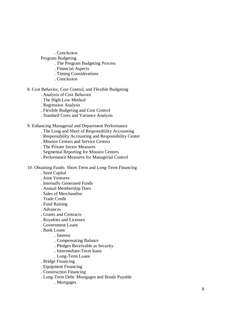. Conclusion

- Program Budgeting
	- . The Program Budgeting Process
	- . Financial Aspects
	- . Timing Considerations
	- . Conclusion
- 8. Cost Behavior, Cost Control, and Flexible Budgeting
	- . Analysis of Cost Behavior
	- . The High-Low Method
	- . Regression Analysis
	- . Flexible Budgeting and Cost Control
	- . Standard Costs and Variance Analysis
- 9. Enhancing Managerial and Department Performance
	- . The Long and Short of Responsibility Accounting
	- . Responsibility Accounting and Responsibility Center
	- . Mission Centers and Service Centers
	- . The Private Sector Measures
	- . Segmental Reporting for Mission Centers
	- . Performance Measures for Managerial Control
- 10. Obtaining Funds: Short-Term and Long-Term Financing
	- . Seed Capital
	- . Joint Ventures
	- . Internally Generated Funds
	- . Annual Membership Dues
	- . Sales of Merchandise
	- . Trade Credit
	- . Fund Raising
	- . Advances
	- . Grants and Contracts
	- . Royalties and Licenses
	- . Government Loans
	- . Bank Loans
		- . Interest
		- . Compensating Balance
		- . Pledges Receivable as Security
		- . Intermediate-Term loans
		- . Long-Term Loans
	- . Bridge Financing
	- . Equipment Financing
	- . Construction Financing
	- . Long-Term Debt: Mortgages and Bonds Payable
		- . Mortgages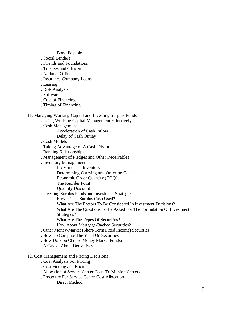- . Bond Payable
- . Social Lenders
- . Friends and Foundations
- . Trustees and Officers
- . National Offices
- . Insurance Company Loans
- . Leasing
- . Risk Analysis
- . Software
- . Cost of Financing
- . Timing of Financing

#### 11. Managing Working Capital and Investing Surplus Funds

- . Using Working Capital Management Effectively
- . Cash Management
	- . Acceleration of Cash Inflow
	- . Delay of Cash Outlay
- . Cash Models
- . Taking Advantage of A Cash Discount
- . Banking Relationships
- . Management of Pledges and Other Receivables
- . Inventory Management
	- . Investment in Inventory
	- . Determining Carrying and Ordering Costs
	- . Economic Order Quantity (EOQ)
	- . The Reorder Point
	- . Quantity Discount
- . Investing Surplus Funds and Investment Strategies
	- . How Is This Surplus Cash Used?
	- . What Are The Factors To Be Considered In Investment Decisions?
	- . What Are The Questions To Be Asked For The Formulation Of Investment Strategies?
	- . What Are The Types Of Securities?
	- . How About Mortgage-Backed Securities?
- . Other Money-Market (Short-Term Fixed Income) Securities?
- . How To Compute The Yield On Securities
- . How Do You Choose Money Market Funds?
- . A Caveat About Derivatives

#### 12. Cost Management and Pricing Decisions

- . Cost Analysis For Pricing
- . Cost Finding and Pricing
- . Allocation of Service Center Costs To Mission Centers
- . Procedure For Service Center Cost Allocation
	- . Direct Method